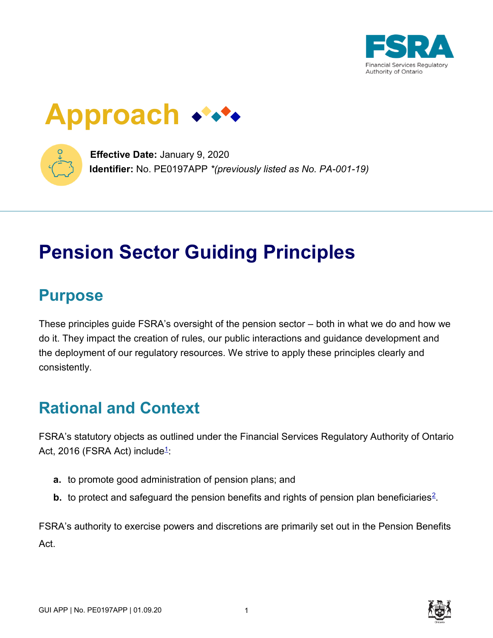

# **Approach**



**Effective Date:** January 9, 2020 **Identifier:** No. PE0197APP *\*(previously listed as No. PA-001-19)*

# **Pension Sector Guiding Principles**

## **Purpose**

These principles guide FSRA's oversight of the pension sector – both in what we do and how we do it. They impact the creation of rules, our public interactions and guidance development and the deployment of our regulatory resources. We strive to apply these principles clearly and consistently.

# **Rational and Context**

FSRA's statutory objects as outlined under the Financial Services Regulatory Authority of Ontario Act, 20[1](https://www.fsrao.ca/industry/pension-sector/guidance/pension-sector-guiding-principles#footnote1)6 (FSRA Act) include<del>1</del>:

- **a.** to promote good administration of pension plans; and
- **b.** to protect and safeguard the pension benefits and rights of pension plan beneficiaries<sup>[2](https://www.fsrao.ca/industry/pension-sector/guidance/pension-sector-guiding-principles#footnote2)</sup>.

FSRA's authority to exercise powers and discretions are primarily set out in the Pension Benefits Act.

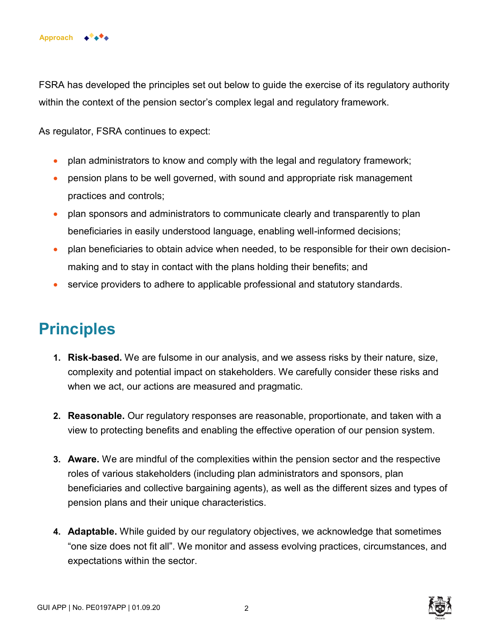

FSRA has developed the principles set out below to guide the exercise of its regulatory authority within the context of the pension sector's complex legal and regulatory framework.

As regulator, FSRA continues to expect:

- plan administrators to know and comply with the legal and regulatory framework;
- pension plans to be well governed, with sound and appropriate risk management practices and controls;
- plan sponsors and administrators to communicate clearly and transparently to plan beneficiaries in easily understood language, enabling well-informed decisions;
- plan beneficiaries to obtain advice when needed, to be responsible for their own decisionmaking and to stay in contact with the plans holding their benefits; and
- service providers to adhere to applicable professional and statutory standards.

### **Principles**

- **1. Risk-based.** We are fulsome in our analysis, and we assess risks by their nature, size, complexity and potential impact on stakeholders. We carefully consider these risks and when we act, our actions are measured and pragmatic.
- **2. Reasonable.** Our regulatory responses are reasonable, proportionate, and taken with a view to protecting benefits and enabling the effective operation of our pension system.
- **3. Aware.** We are mindful of the complexities within the pension sector and the respective roles of various stakeholders (including plan administrators and sponsors, plan beneficiaries and collective bargaining agents), as well as the different sizes and types of pension plans and their unique characteristics.
- **4. Adaptable.** While guided by our regulatory objectives, we acknowledge that sometimes "one size does not fit all". We monitor and assess evolving practices, circumstances, and expectations within the sector.